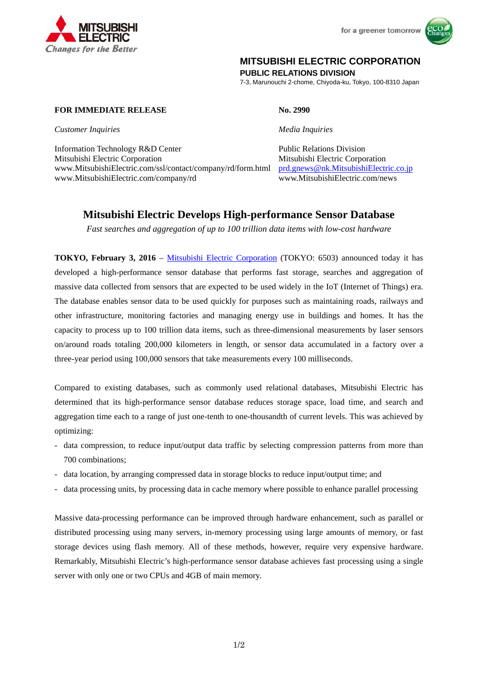



# **MITSUBISHI ELECTRIC CORPORATION**

**PUBLIC RELATIONS DIVISION** 

7-3, Marunouchi 2-chome, Chiyoda-ku, Tokyo, 100-8310 Japan

### **FOR IMMEDIATE RELEASE No. 2990**

*Customer Inquiries Media Inquiries*

Information Technology R&D Center Public Relations Division Mitsubishi Electric Corporation Mitsubishi Electric Corporation www.MitsubishiElectric.com/ssl/contact/company/rd/form.html prd.gnews@nk.MitsubishiElectric.co.jp www.MitsubishiElectric.com/company/rd www.MitsubishiElectric.com/news

# **Mitsubishi Electric Develops High-performance Sensor Database**

*Fast searches and aggregation of up to 100 trillion data items with low-cost hardware* 

**TOKYO, February 3, 2016** – Mitsubishi Electric Corporation (TOKYO: 6503) announced today it has developed a high-performance sensor database that performs fast storage, searches and aggregation of massive data collected from sensors that are expected to be used widely in the IoT (Internet of Things) era. The database enables sensor data to be used quickly for purposes such as maintaining roads, railways and other infrastructure, monitoring factories and managing energy use in buildings and homes. It has the capacity to process up to 100 trillion data items, such as three-dimensional measurements by laser sensors on/around roads totaling 200,000 kilometers in length, or sensor data accumulated in a factory over a three-year period using 100,000 sensors that take measurements every 100 milliseconds.

Compared to existing databases, such as commonly used relational databases, Mitsubishi Electric has determined that its high-performance sensor database reduces storage space, load time, and search and aggregation time each to a range of just one-tenth to one-thousandth of current levels. This was achieved by optimizing:

- data compression, to reduce input/output data traffic by selecting compression patterns from more than 700 combinations;
- data location, by arranging compressed data in storage blocks to reduce input/output time; and
- data processing units, by processing data in cache memory where possible to enhance parallel processing

Massive data-processing performance can be improved through hardware enhancement, such as parallel or distributed processing using many servers, in-memory processing using large amounts of memory, or fast storage devices using flash memory. All of these methods, however, require very expensive hardware. Remarkably, Mitsubishi Electric's high-performance sensor database achieves fast processing using a single server with only one or two CPUs and 4GB of main memory.